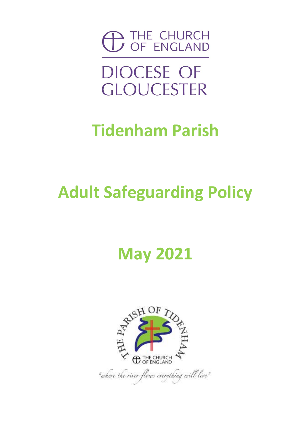

**DIOCESE OF GLOUCESTER** 

### **Tidenham Parish**

### **Adult Safeguarding Policy**

### **May 2021**

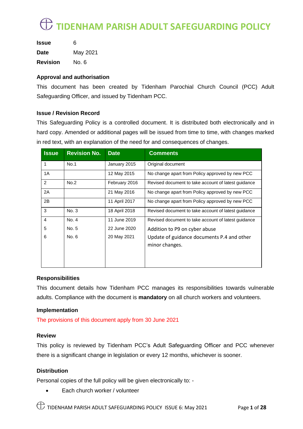| <b>Issue</b>    | 6        |
|-----------------|----------|
| <b>Date</b>     | May 2021 |
| <b>Revision</b> | No. 6    |

#### **Approval and authorisation**

This document has been created by Tidenham Parochial Church Council (PCC) Adult Safeguarding Officer, and issued by Tidenham PCC.

#### **Issue / Revision Record**

This Safeguarding Policy is a controlled document. It is distributed both electronically and in hard copy. Amended or additional pages will be issued from time to time, with changes marked in red text, with an explanation of the need for and consequences of changes.

| <b>Issue</b>   | <b>Revision No.</b> | <b>Date</b>   | <b>Comments</b>                                     |
|----------------|---------------------|---------------|-----------------------------------------------------|
| 1              | No.1                | January 2015  | Original document                                   |
| 1A             |                     | 12 May 2015   | No change apart from Policy approved by new PCC     |
| 2              | No.2                | February 2016 | Revised document to take account of latest guidance |
| 2A             |                     | 21 May 2016   | No change apart from Policy approved by new PCC     |
| 2B             |                     | 11 April 2017 | No change apart from Policy approved by new PCC     |
| 3              | No. 3               | 18 April 2018 | Revised document to take account of latest guidance |
| $\overline{4}$ | No. 4               | 11 June 2019  | Revised document to take account of latest guidance |
| 5              | No. 5               | 22 June 2020  | Addition to P9 on cyber abuse                       |
| 6              | No. 6               | 20 May 2021   | Update of guidance documents P.4 and other          |
|                |                     |               | minor changes.                                      |
|                |                     |               |                                                     |
|                |                     |               |                                                     |

#### **Responsibilities**

This document details how Tidenham PCC manages its responsibilities towards vulnerable adults. Compliance with the document is **mandatory** on all church workers and volunteers.

#### **Implementation**

The provisions of this document apply from 30 June 2021

#### **Review**

This policy is reviewed by Tidenham PCC's Adult Safeguarding Officer and PCC whenever there is a significant change in legislation or every 12 months, whichever is sooner.

#### **Distribution**

Personal copies of the full policy will be given electronically to: -

• Each church worker / volunteer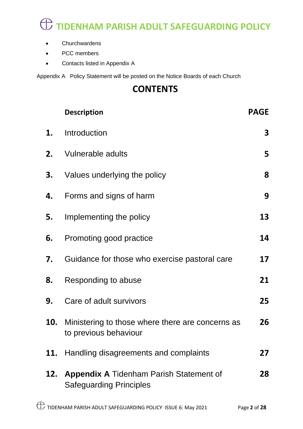- Churchwardens
- PCC members
- Contacts listed in Appendix A

Appendix A Policy Statement will be posted on the Notice Boards of each Church

#### **CONTENTS**

|     | <b>Description</b>                                                            | <b>PAGE</b> |
|-----|-------------------------------------------------------------------------------|-------------|
| 1.  | Introduction                                                                  | 3           |
| 2.  | <b>Vulnerable adults</b>                                                      | 5           |
| 3.  | Values underlying the policy                                                  | 8           |
| 4.  | Forms and signs of harm                                                       | 9           |
| 5.  | Implementing the policy                                                       | 13          |
| 6.  | Promoting good practice                                                       | 14          |
| 7.  | Guidance for those who exercise pastoral care                                 | 17          |
| 8.  | Responding to abuse                                                           | 21          |
| 9.  | Care of adult survivors                                                       | 25          |
| 10. | Ministering to those where there are concerns as<br>to previous behaviour     | 26          |
|     | 11. Handling disagreements and complaints                                     | 27          |
|     | 12. Appendix A Tidenham Parish Statement of<br><b>Safeguarding Principles</b> | 28          |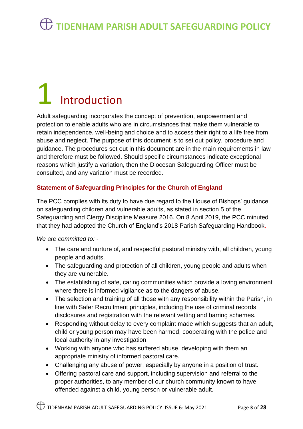# **Introduction**

Adult safeguarding incorporates the concept of prevention, empowerment and protection to enable adults who are in circumstances that make them vulnerable to retain independence, well-being and choice and to access their right to a life free from abuse and neglect. The purpose of this document is to set out policy, procedure and guidance. The procedures set out in this document are in the main requirements in law and therefore must be followed. Should specific circumstances indicate exceptional reasons which justify a variation, then the Diocesan Safeguarding Officer must be consulted, and any variation must be recorded.

#### **Statement of Safeguarding Principles for the Church of England**

The PCC complies with its duty to have due regard to the House of Bishops' guidance on safeguarding children and vulnerable adults, as stated in section 5 of the Safeguarding and Clergy Discipline Measure 2016. On 8 April 2019, the PCC minuted that they had adopted the Church of England's 2018 Parish Safeguarding Handbook.

*We are committed to: -*

- The care and nurture of, and respectful pastoral ministry with, all children, young people and adults.
- The safeguarding and protection of all children, young people and adults when they are vulnerable.
- The establishing of safe, caring communities which provide a loving environment where there is informed vigilance as to the dangers of abuse.
- The selection and training of all those with any responsibility within the Parish, in line with Safer Recruitment principles, including the use of criminal records disclosures and registration with the relevant vetting and barring schemes.
- Responding without delay to every complaint made which suggests that an adult, child or young person may have been harmed, cooperating with the police and local authority in any investigation.
- Working with anyone who has suffered abuse, developing with them an appropriate ministry of informed pastoral care.
- Challenging any abuse of power, especially by anyone in a position of trust.
- Offering pastoral care and support, including supervision and referral to the proper authorities, to any member of our church community known to have offended against a child, young person or vulnerable adult.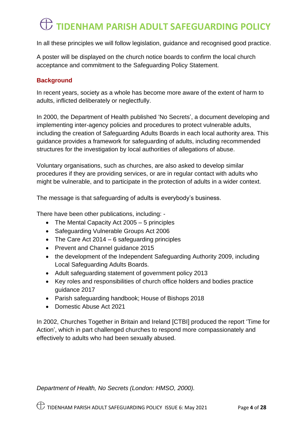In all these principles we will follow legislation, guidance and recognised good practice.

A poster will be displayed on the church notice boards to confirm the local church acceptance and commitment to the Safeguarding Policy Statement.

#### **Background**

In recent years, society as a whole has become more aware of the extent of harm to adults, inflicted deliberately or neglectfully.

In 2000, the Department of Health published 'No Secrets', a document developing and implementing inter-agency policies and procedures to protect vulnerable adults, including the creation of Safeguarding Adults Boards in each local authority area. This guidance provides a framework for safeguarding of adults, including recommended structures for the investigation by local authorities of allegations of abuse.

Voluntary organisations, such as churches, are also asked to develop similar procedures if they are providing services, or are in regular contact with adults who might be vulnerable, and to participate in the protection of adults in a wider context.

The message is that safeguarding of adults is everybody's business.

There have been other publications, including: -

- The Mental Capacity Act 2005 5 principles
- Safeguarding Vulnerable Groups Act 2006
- The Care Act  $2014 6$  safeguarding principles
- Prevent and Channel guidance 2015
- the development of the Independent Safeguarding Authority 2009, including Local Safeguarding Adults Boards.
- Adult safeguarding statement of government policy 2013
- Key roles and responsibilities of church office holders and bodies practice guidance 2017
- Parish safeguarding handbook; House of Bishops 2018
- Domestic Abuse Act 2021

In 2002, Churches Together in Britain and Ireland [CTBI] produced the report 'Time for Action', which in part challenged churches to respond more compassionately and effectively to adults who had been sexually abused.

*Department of Health, No Secrets (London: HMSO, 2000).*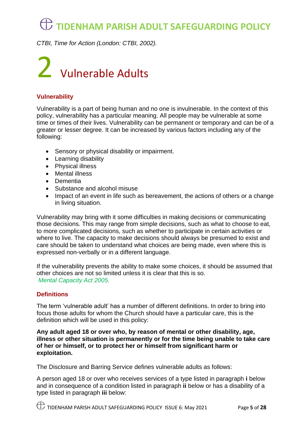*CTBI, Time for Action (London: CTBI, 2002).*

## 2 Vulnerable Adults

#### **Vulnerability**

Vulnerability is a part of being human and no one is invulnerable. In the context of this policy, vulnerability has a particular meaning. All people may be vulnerable at some time or times of their lives. Vulnerability can be permanent or temporary and can be of a greater or lesser degree. It can be increased by various factors including any of the following:

- Sensory or physical disability or impairment.
- Learning disability
- Physical illness
- Mental illness
- Dementia
- Substance and alcohol misuse
- Impact of an event in life such as bereavement, the actions of others or a change in living situation.

Vulnerability may bring with it some difficulties in making decisions or communicating those decisions. This may range from simple decisions, such as what to choose to eat, to more complicated decisions, such as whether to participate in certain activities or where to live. The capacity to make decisions should always be presumed to exist and care should be taken to understand what choices are being made, even where this is expressed non-verbally or in a different language.

If the vulnerability prevents the ability to make some choices, it should be assumed that other choices are not so limited unless it is clear that this is so. *Mental Capacity Act 2005.*

#### **Definitions**

The term 'vulnerable adult' has a number of different definitions. In order to bring into focus those adults for whom the Church should have a particular care, this is the definition which will be used in this policy:

**Any adult aged 18 or over who, by reason of mental or other disability, age, illness or other situation is permanently or for the time being unable to take care of her or himself, or to protect her or himself from significant harm or exploitation.**

The Disclosure and Barring Service defines vulnerable adults as follows:

A person aged 18 or over who receives services of a type listed in paragraph **i** below and in consequence of a condition listed in paragraph **ii** below or has a disability of a type listed in paragraph **iii** below: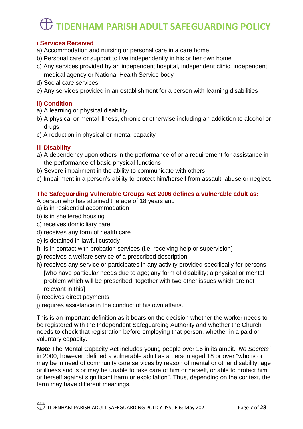#### **i Services Received**

- a) Accommodation and nursing or personal care in a care home
- b) Personal care or support to live independently in his or her own home
- c) Any services provided by an independent hospital, independent clinic, independent medical agency or National Health Service body
- d) Social care services
- e) Any services provided in an establishment for a person with learning disabilities

#### **ii) Condition**

- a) A learning or physical disability
- b) A physical or mental illness, chronic or otherwise including an addiction to alcohol or drugs
- c) A reduction in physical or mental capacity

#### **iii Disability**

- a) A dependency upon others in the performance of or a requirement for assistance in the performance of basic physical functions
- b) Severe impairment in the ability to communicate with others
- c) Impairment in a person's ability to protect him/herself from assault, abuse or neglect.

#### **The Safeguarding Vulnerable Groups Act 2006 defines a vulnerable adult as:**

A person who has attained the age of 18 years and

- a) is in residential accommodation
- b) is in sheltered housing
- c) receives domiciliary care
- d) receives any form of health care
- e) is detained in lawful custody
- f) is in contact with probation services (i.e. receiving help or supervision)
- g) receives a welfare service of a prescribed description
- h) receives any service or participates in any activity provided specifically for persons [who have particular needs due to age; any form of disability; a physical or mental problem which will be prescribed; together with two other issues which are not relevant in this]
- i) receives direct payments
- j) requires assistance in the conduct of his own affairs.

This is an important definition as it bears on the decision whether the worker needs to be registered with the Independent Safeguarding Authority and whether the Church needs to check that registration before employing that person, whether in a paid or voluntary capacity.

*Note* The Mental Capacity Act includes young people over 16 in its ambit. '*No Secrets'* in 2000, however, defined a vulnerable adult as a person aged 18 or over "who is or may be in need of community care services by reason of mental or other disability, age or illness and is or may be unable to take care of him or herself, or able to protect him or herself against significant harm or exploitation". Thus, depending on the context, the term may have different meanings.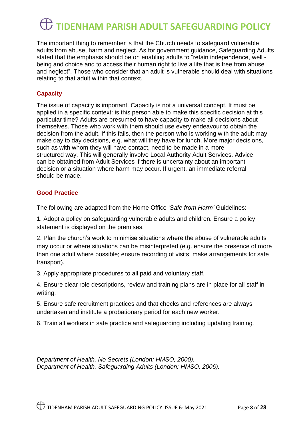The important thing to remember is that the Church needs to safeguard vulnerable adults from abuse, harm and neglect. As for government guidance, Safeguarding Adults stated that the emphasis should be on enabling adults to "retain independence, well being and choice and to access their human right to live a life that is free from abuse and neglect". Those who consider that an adult is vulnerable should deal with situations relating to that adult within that context.

#### **Capacity**

The issue of capacity is important. Capacity is not a universal concept. It must be applied in a specific context: is this person able to make this specific decision at this particular time? Adults are presumed to have capacity to make all decisions about themselves. Those who work with them should use every endeavour to obtain the decision from the adult. If this fails, then the person who is working with the adult may make day to day decisions, e.g. what will they have for lunch. More major decisions, such as with whom they will have contact, need to be made in a more structured way. This will generally involve Local Authority Adult Services. Advice can be obtained from Adult Services if there is uncertainty about an important decision or a situation where harm may occur. If urgent, an immediate referral should be made.

#### **Good Practice**

The following are adapted from the Home Office '*Safe from Harm'* Guidelines: -

1. Adopt a policy on safeguarding vulnerable adults and children. Ensure a policy statement is displayed on the premises.

2. Plan the church's work to minimise situations where the abuse of vulnerable adults may occur or where situations can be misinterpreted (e.g. ensure the presence of more than one adult where possible; ensure recording of visits; make arrangements for safe transport).

3. Apply appropriate procedures to all paid and voluntary staff.

4. Ensure clear role descriptions, review and training plans are in place for all staff in writing.

5. Ensure safe recruitment practices and that checks and references are always undertaken and institute a probationary period for each new worker.

6. Train all workers in safe practice and safeguarding including updating training.

*Department of Health, No Secrets (London: HMSO, 2000). Department of Health, Safeguarding Adults (London: HMSO, 2006).*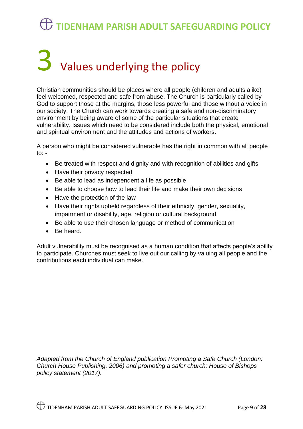# $\bf{3}$  Values underlying the policy

Christian communities should be places where all people (children and adults alike) feel welcomed, respected and safe from abuse. The Church is particularly called by God to support those at the margins, those less powerful and those without a voice in our society. The Church can work towards creating a safe and non-discriminatory environment by being aware of some of the particular situations that create vulnerability. Issues which need to be considered include both the physical, emotional and spiritual environment and the attitudes and actions of workers.

A person who might be considered vulnerable has the right in common with all people to:  $-$ 

- Be treated with respect and dignity and with recognition of abilities and gifts
- Have their privacy respected
- Be able to lead as independent a life as possible
- Be able to choose how to lead their life and make their own decisions
- Have the protection of the law
- Have their rights upheld regardless of their ethnicity, gender, sexuality, impairment or disability, age, religion or cultural background
- Be able to use their chosen language or method of communication
- Be heard.

Adult vulnerability must be recognised as a human condition that affects people's ability to participate. Churches must seek to live out our calling by valuing all people and the contributions each individual can make.

*Adapted from the Church of England publication Promoting a Safe Church (London: Church House Publishing, 2006) and promoting a safer church; House of Bishops policy statement (2017).*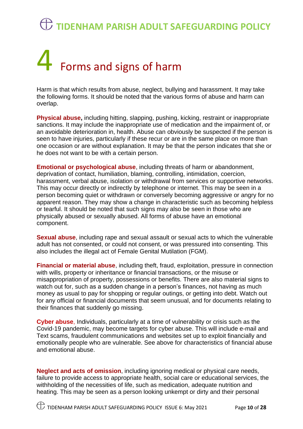# 4 Forms and signs of harm

Harm is that which results from abuse, neglect, bullying and harassment. It may take the following forms. It should be noted that the various forms of abuse and harm can overlap.

**Physical abuse,** including hitting, slapping, pushing, kicking, restraint or inappropriate sanctions. It may include the inappropriate use of medication and the impairment of, or an avoidable deterioration in, health. Abuse can obviously be suspected if the person is seen to have injuries, particularly if these recur or are in the same place on more than one occasion or are without explanation. It may be that the person indicates that she or he does not want to be with a certain person.

**Emotional or psychological abuse**, including threats of harm or abandonment, deprivation of contact, humiliation, blaming, controlling, intimidation, coercion, harassment, verbal abuse, isolation or withdrawal from services or supportive networks. This may occur directly or indirectly by telephone or internet. This may be seen in a person becoming quiet or withdrawn or conversely becoming aggressive or angry for no apparent reason. They may show a change in characteristic such as becoming helpless or tearful. It should be noted that such signs may also be seen in those who are physically abused or sexually abused. All forms of abuse have an emotional component.

**Sexual abuse**, including rape and sexual assault or sexual acts to which the vulnerable adult has not consented, or could not consent, or was pressured into consenting. This also includes the illegal act of Female Genital Mutilation (FGM).

**Financial or material abuse**, including theft, fraud, exploitation, pressure in connection with wills, property or inheritance or financial transactions, or the misuse or misappropriation of property, possessions or benefits. There are also material signs to watch out for, such as a sudden change in a person's finances, not having as much money as usual to pay for shopping or regular outings, or getting into debt. Watch out for any official or financial documents that seem unusual, and for documents relating to their finances that suddenly go missing.

**Cyber abuse**, Individuals, particularly at a time of vulnerability or crisis such as the Covid-19 pandemic, may become targets for cyber abuse. This will include e-mail and Text scams, fraudulent communications and websites set up to exploit financially and emotionally people who are vulnerable. See above for characteristics of financial abuse and emotional abuse.

**Neglect and acts of omission**, including ignoring medical or physical care needs, failure to provide access to appropriate health, social care or educational services, the withholding of the necessities of life, such as medication, adequate nutrition and heating. This may be seen as a person looking unkempt or dirty and their personal

TIDENHAM PARISH ADULT SAFEGUARDING POLICY ISSUE 6: May 2021 Page **10** of **28**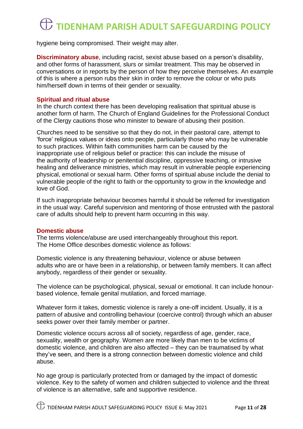hygiene being compromised. Their weight may alter.

**Discriminatory abuse**, including racist, sexist abuse based on a person's disability, and other forms of harassment, slurs or similar treatment. This may be observed in conversations or in reports by the person of how they perceive themselves. An example of this is where a person rubs their skin in order to remove the colour or who puts him/herself down in terms of their gender or sexuality.

#### **Spiritual and ritual abuse**

In the church context there has been developing realisation that spiritual abuse is another form of harm. The Church of England Guidelines for the Professional Conduct of the Clergy cautions those who minister to beware of abusing their position.

Churches need to be sensitive so that they do not, in their pastoral care, attempt to 'force' religious values or ideas onto people, particularly those who may be vulnerable to such practices. Within faith communities harm can be caused by the inappropriate use of religious belief or practice: this can include the misuse of the authority of leadership or penitential discipline, oppressive teaching, or intrusive healing and deliverance ministries, which may result in vulnerable people experiencing physical, emotional or sexual harm. Other forms of spiritual abuse include the denial to vulnerable people of the right to faith or the opportunity to grow in the knowledge and love of God.

If such inappropriate behaviour becomes harmful it should be referred for investigation in the usual way. Careful supervision and mentoring of those entrusted with the pastoral care of adults should help to prevent harm occurring in this way.

#### **Domestic abuse**

The terms violence/abuse are used interchangeably throughout this report. The Home Office describes domestic violence as follows:

Domestic violence is any threatening behaviour, violence or abuse between adults who are or have been in a relationship, or between family members. It can affect anybody, regardless of their gender or sexuality.

The violence can be psychological, physical, sexual or emotional. It can include honourbased violence, female genital mutilation, and forced marriage.

Whatever form it takes, domestic violence is rarely a one-off incident. Usually, it is a pattern of abusive and controlling behaviour (coercive control) through which an abuser seeks power over their family member or partner.

Domestic violence occurs across all of society, regardless of age, gender, race, sexuality, wealth or geography. Women are more likely than men to be victims of domestic violence, and children are also affected – they can be traumatised by what they've seen, and there is a strong connection between domestic violence and child abuse.

No age group is particularly protected from or damaged by the impact of domestic violence. Key to the safety of women and children subjected to violence and the threat of violence is an alternative, safe and supportive residence.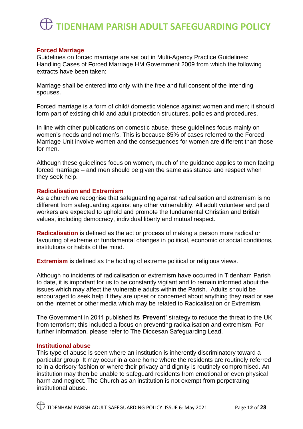#### **Forced Marriage**

Guidelines on forced marriage are set out in Multi-Agency Practice Guidelines: Handling Cases of Forced Marriage HM Government 2009 from which the following extracts have been taken:

Marriage shall be entered into only with the free and full consent of the intending spouses.

Forced marriage is a form of child/ domestic violence against women and men; it should form part of existing child and adult protection structures, policies and procedures.

In line with other publications on domestic abuse, these guidelines focus mainly on women's needs and not men's. This is because 85% of cases referred to the Forced Marriage Unit involve women and the consequences for women are different than those for men.

Although these guidelines focus on women, much of the guidance applies to men facing forced marriage – and men should be given the same assistance and respect when they seek help.

#### **Radicalisation and Extremism**

As a church we recognise that safeguarding against radicalisation and extremism is no different from safeguarding against any other vulnerability. All adult volunteer and paid workers are expected to uphold and promote the fundamental Christian and British values, including democracy, individual liberty and mutual respect.

**Radicalisation** is defined as the act or process of making a person more radical or favouring of extreme or fundamental changes in political, economic or social conditions, institutions or habits of the mind.

**Extremism** is defined as the holding of extreme political or religious views.

Although no incidents of radicalisation or extremism have occurred in Tidenham Parish to date, it is important for us to be constantly vigilant and to remain informed about the issues which may affect the vulnerable adults within the Parish. Adults should be encouraged to seek help if they are upset or concerned about anything they read or see on the internet or other media which may be related to Radicalisation or Extremism.

The Government in 2011 published its '**Prevent'** strategy to reduce the threat to the UK from terrorism; this included a focus on preventing radicalisation and extremism. For further information, please refer to The Diocesan Safeguarding Lead.

#### **Institutional abuse**

This type of abuse is seen where an institution is inherently discriminatory toward a particular group. It may occur in a care home where the residents are routinely referred to in a derisory fashion or where their privacy and dignity is routinely compromised. An institution may then be unable to safeguard residents from emotional or even physical harm and neglect. The Church as an institution is not exempt from perpetrating institutional abuse.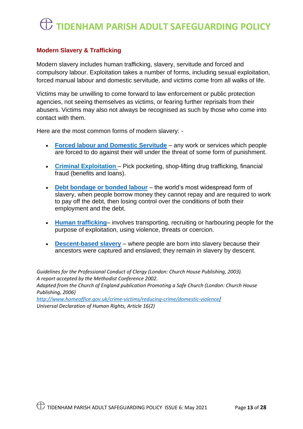#### **Modern Slavery & Trafficking**

Modern slavery includes human trafficking, slavery, servitude and forced and compulsory labour. Exploitation takes a number of forms, including sexual exploitation, forced manual labour and domestic servitude, and victims come from all walks of life.

Victims may be unwilling to come forward to law enforcement or public protection agencies, not seeing themselves as victims, or fearing further reprisals from their abusers. Victims may also not always be recognised as such by those who come into contact with them.

Here are the most common forms of modern slavery: -

- **[Forced labour](http://www.antislavery.org/slavery-today/forced-labour/) and Domestic Servitude** any work or services which people are forced to do against their will under the threat of some form of punishment.
- **Criminal Exploitation**  Pick pocketing, shop-lifting drug trafficking, financial fraud (benefits and loans).
- **[Debt bondage](http://www.antislavery.org/slavery-today/debt-bondage/) or bonded labour** the world's most widespread form of slavery, when people borrow money they cannot repay and are required to work to pay off the debt, then losing control over the conditions of both their employment and the debt.
- **[Human trafficking](http://www.antislavery.org/slavery-today/human-trafficking/)** involves transporting, recruiting or harbouring people for the purpose of exploitation, using violence, threats or coercion.
- **[Descent-based slavery](http://www.antislavery.org/slavery-today/descent-based-slavery/)** where people are born into slavery because their ancestors were captured and enslaved; they remain in slavery by descent.

*Guidelines for the Professional Conduct of Clergy (London: Church House Publishing, 2003). A report accepted by the Methodist Conference 2002.*

*Adapted from the Church of England publication Promoting a Safe Church (London: Church House Publishing, 2006)*

*[http://www.homeoffice.gov.uk/crime-victims/reducing-crime/domestic-violence](http://www.homeoffice.gov.uk/crime-victims/reducing-crime/domestic-violence/)***/** *Universal Declaration of Human Rights, Article 16(2)*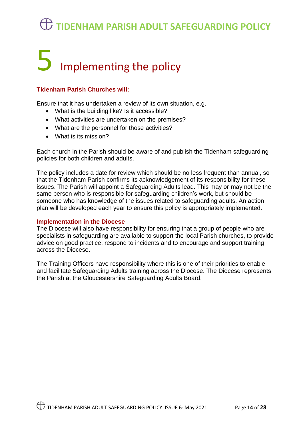## Implementing the policy

#### **Tidenham Parish Churches will:**

Ensure that it has undertaken a review of its own situation, e.g.

- What is the building like? Is it accessible?
- What activities are undertaken on the premises?
- What are the personnel for those activities?
- What is its mission?

Each church in the Parish should be aware of and publish the Tidenham safeguarding policies for both children and adults.

The policy includes a date for review which should be no less frequent than annual, so that the Tidenham Parish confirms its acknowledgement of its responsibility for these issues. The Parish will appoint a Safeguarding Adults lead. This may or may not be the same person who is responsible for safeguarding children's work, but should be someone who has knowledge of the issues related to safeguarding adults. An action plan will be developed each year to ensure this policy is appropriately implemented.

#### **Implementation in the Diocese**

The Diocese will also have responsibility for ensuring that a group of people who are specialists in safeguarding are available to support the local Parish churches, to provide advice on good practice, respond to incidents and to encourage and support training across the Diocese.

The Training Officers have responsibility where this is one of their priorities to enable and facilitate Safeguarding Adults training across the Diocese. The Diocese represents the Parish at the Gloucestershire Safeguarding Adults Board.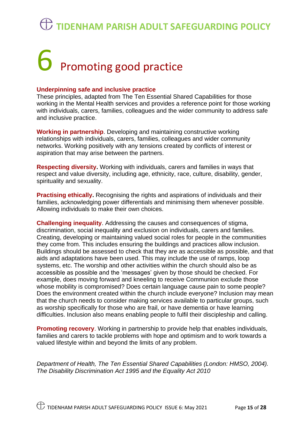# 6 Promoting good practice

#### **Underpinning safe and inclusive practice**

These principles, adapted from The Ten Essential Shared Capabilities for those working in the Mental Health services and provides a reference point for those working with individuals, carers, families, colleagues and the wider community to address safe and inclusive practice.

**Working in partnership**. Developing and maintaining constructive working relationships with individuals, carers, families, colleagues and wider community networks. Working positively with any tensions created by conflicts of interest or aspiration that may arise between the partners.

**Respecting diversity.** Working with individuals, carers and families in ways that respect and value diversity, including age, ethnicity, race, culture, disability, gender, spirituality and sexuality.

**Practising ethically.** Recognising the rights and aspirations of individuals and their families, acknowledging power differentials and minimising them whenever possible. Allowing individuals to make their own choices.

**Challenging inequality**. Addressing the causes and consequences of stigma, discrimination, social inequality and exclusion on individuals, carers and families. Creating, developing or maintaining valued social roles for people in the communities they come from. This includes ensuring the buildings and practices allow inclusion. Buildings should be assessed to check that they are as accessible as possible, and that aids and adaptations have been used. This may include the use of ramps, loop systems, etc. The worship and other activities within the church should also be as accessible as possible and the 'messages' given by those should be checked. For example, does moving forward and kneeling to receive Communion exclude those whose mobility is compromised? Does certain language cause pain to some people? Does the environment created within the church include everyone? Inclusion may mean that the church needs to consider making services available to particular groups, such as worship specifically for those who are frail, or have dementia or have learning difficulties. Inclusion also means enabling people to fulfil their discipleship and calling.

**Promoting recovery.** Working in partnership to provide help that enables individuals, families and carers to tackle problems with hope and optimism and to work towards a valued lifestyle within and beyond the limits of any problem.

*Department of Health, The Ten Essential Shared Capabilities (London: HMSO, 2004). The Disability Discrimination Act 1995 and the Equality Act 2010*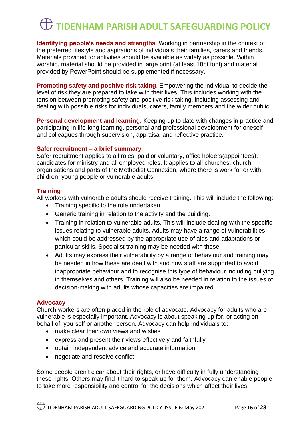**Identifying people's needs and strengths**. Working in partnership in the context of the preferred lifestyle and aspirations of individuals their families, carers and friends. Materials provided for activities should be available as widely as possible. Within worship, material should be provided in large print (at least 18pt font) and material provided by PowerPoint should be supplemented if necessary.

**Promoting safety and positive risk taking.** Empowering the individual to decide the level of risk they are prepared to take with their lives. This includes working with the tension between promoting safety and positive risk taking, including assessing and dealing with possible risks for individuals, carers, family members and the wider public.

**Personal development and learning.** Keeping up to date with changes in practice and participating in life-long learning, personal and professional development for oneself and colleagues through supervision, appraisal and reflective practice.

#### **Safer recruitment – a brief summary**

Safer recruitment applies to all roles, paid or voluntary, office holders(appointees), candidates for ministry and all employed roles. It applies to all churches, church organisations and parts of the Methodist Connexion, where there is work for or with children, young people or vulnerable adults.

#### **Training**

All workers with vulnerable adults should receive training. This will include the following:

- Training specific to the role undertaken.
- Generic training in relation to the activity and the building.
- Training in relation to vulnerable adults. This will include dealing with the specific issues relating to vulnerable adults. Adults may have a range of vulnerabilities which could be addressed by the appropriate use of aids and adaptations or particular skills. Specialist training may be needed with these.
- Adults may express their vulnerability by a range of behaviour and training may be needed in how these are dealt with and how staff are supported to avoid inappropriate behaviour and to recognise this type of behaviour including bullying in themselves and others. Training will also be needed in relation to the issues of decision-making with adults whose capacities are impaired.

#### **Advocacy**

Church workers are often placed in the role of advocate. Advocacy for adults who are vulnerable is especially important. Advocacy is about speaking up for, or acting on behalf of, yourself or another person. Advocacy can help individuals to:

- make clear their own views and wishes
- express and present their views effectively and faithfully
- obtain independent advice and accurate information
- negotiate and resolve conflict.

Some people aren't clear about their rights, or have difficulty in fully understanding these rights. Others may find it hard to speak up for them. Advocacy can enable people to take more responsibility and control for the decisions which affect their lives.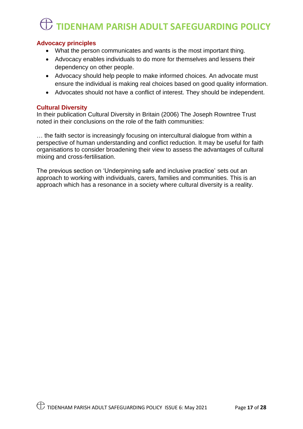#### **Advocacy principles**

- What the person communicates and wants is the most important thing.
- Advocacy enables individuals to do more for themselves and lessens their dependency on other people.
- Advocacy should help people to make informed choices. An advocate must ensure the individual is making real choices based on good quality information.
- Advocates should not have a conflict of interest. They should be independent.

#### **Cultural Diversity**

In their publication Cultural Diversity in Britain (2006) The Joseph Rowntree Trust noted in their conclusions on the role of the faith communities:

… the faith sector is increasingly focusing on intercultural dialogue from within a perspective of human understanding and conflict reduction. It may be useful for faith organisations to consider broadening their view to assess the advantages of cultural mixing and cross-fertilisation.

The previous section on 'Underpinning safe and inclusive practice' sets out an approach to working with individuals, carers, families and communities. This is an approach which has a resonance in a society where cultural diversity is a reality.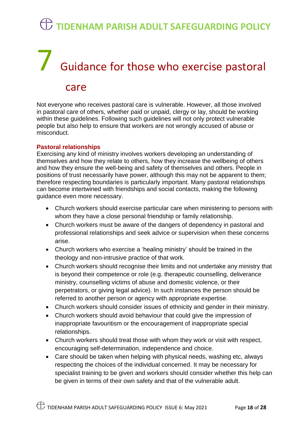# 7 Guidance for those who exercise pastoral

#### care

Not everyone who receives pastoral care is vulnerable. However, all those involved in pastoral care of others, whether paid or unpaid, clergy or lay, should be working within these guidelines. Following such guidelines will not only protect vulnerable people but also help to ensure that workers are not wrongly accused of abuse or misconduct.

#### **Pastoral relationships**

Exercising any kind of ministry involves workers developing an understanding of themselves and how they relate to others, how they increase the wellbeing of others and how they ensure the well-being and safety of themselves and others. People in positions of trust necessarily have power, although this may not be apparent to them; therefore respecting boundaries is particularly important. Many pastoral relationships can become intertwined with friendships and social contacts, making the following guidance even more necessary.

- Church workers should exercise particular care when ministering to persons with whom they have a close personal friendship or family relationship.
- Church workers must be aware of the dangers of dependency in pastoral and professional relationships and seek advice or supervision when these concerns arise.
- Church workers who exercise a 'healing ministry' should be trained in the theology and non-intrusive practice of that work.
- Church workers should recognise their limits and not undertake any ministry that is beyond their competence or role (e.g. therapeutic counselling, deliverance ministry, counselling victims of abuse and domestic violence, or their perpetrators, or giving legal advice). In such instances the person should be referred to another person or agency with appropriate expertise.
- Church workers should consider issues of ethnicity and gender in their ministry.
- Church workers should avoid behaviour that could give the impression of inappropriate favouritism or the encouragement of inappropriate special relationships.
- Church workers should treat those with whom they work or visit with respect, encouraging self-determination, independence and choice.
- Care should be taken when helping with physical needs, washing etc, always respecting the choices of the individual concerned. It may be necessary for specialist training to be given and workers should consider whether this help can be given in terms of their own safety and that of the vulnerable adult.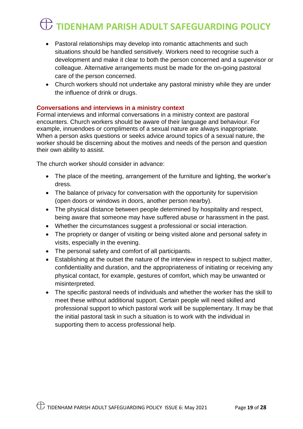- Pastoral relationships may develop into romantic attachments and such situations should be handled sensitively. Workers need to recognise such a development and make it clear to both the person concerned and a supervisor or colleague. Alternative arrangements must be made for the on-going pastoral care of the person concerned.
- Church workers should not undertake any pastoral ministry while they are under the influence of drink or drugs.

#### **Conversations and interviews in a ministry context**

Formal interviews and informal conversations in a ministry context are pastoral encounters. Church workers should be aware of their language and behaviour. For example, innuendoes or compliments of a sexual nature are always inappropriate. When a person asks questions or seeks advice around topics of a sexual nature, the worker should be discerning about the motives and needs of the person and question their own ability to assist.

The church worker should consider in advance:

- The place of the meeting, arrangement of the furniture and lighting, the worker's dress.
- The balance of privacy for conversation with the opportunity for supervision (open doors or windows in doors, another person nearby).
- The physical distance between people determined by hospitality and respect, being aware that someone may have suffered abuse or harassment in the past.
- Whether the circumstances suggest a professional or social interaction.
- The propriety or danger of visiting or being visited alone and personal safety in visits, especially in the evening.
- The personal safety and comfort of all participants.
- Establishing at the outset the nature of the interview in respect to subject matter, confidentiality and duration, and the appropriateness of initiating or receiving any physical contact, for example, gestures of comfort, which may be unwanted or misinterpreted.
- The specific pastoral needs of individuals and whether the worker has the skill to meet these without additional support. Certain people will need skilled and professional support to which pastoral work will be supplementary. It may be that the initial pastoral task in such a situation is to work with the individual in supporting them to access professional help.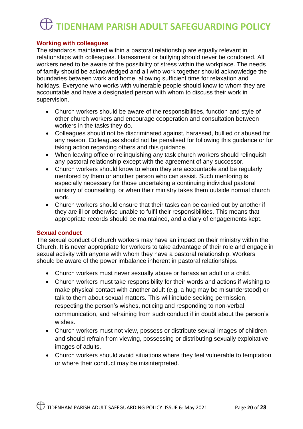#### **Working with colleagues**

The standards maintained within a pastoral relationship are equally relevant in relationships with colleagues. Harassment or bullying should never be condoned. All workers need to be aware of the possibility of stress within the workplace. The needs of family should be acknowledged and all who work together should acknowledge the boundaries between work and home, allowing sufficient time for relaxation and holidays. Everyone who works with vulnerable people should know to whom they are accountable and have a designated person with whom to discuss their work in supervision.

- Church workers should be aware of the responsibilities, function and style of other church workers and encourage cooperation and consultation between workers in the tasks they do.
- Colleagues should not be discriminated against, harassed, bullied or abused for any reason. Colleagues should not be penalised for following this guidance or for taking action regarding others and this guidance.
- When leaving office or relinquishing any task church workers should relinquish any pastoral relationship except with the agreement of any successor.
- Church workers should know to whom they are accountable and be regularly mentored by them or another person who can assist. Such mentoring is especially necessary for those undertaking a continuing individual pastoral ministry of counselling, or when their ministry takes them outside normal church work.
- Church workers should ensure that their tasks can be carried out by another if they are ill or otherwise unable to fulfil their responsibilities. This means that appropriate records should be maintained, and a diary of engagements kept.

#### **Sexual conduct**

The sexual conduct of church workers may have an impact on their ministry within the Church. It is never appropriate for workers to take advantage of their role and engage in sexual activity with anyone with whom they have a pastoral relationship. Workers should be aware of the power imbalance inherent in pastoral relationships.

- Church workers must never sexually abuse or harass an adult or a child.
- Church workers must take responsibility for their words and actions if wishing to make physical contact with another adult (e.g. a hug may be misunderstood) or talk to them about sexual matters. This will include seeking permission, respecting the person's wishes, noticing and responding to non-verbal communication, and refraining from such conduct if in doubt about the person's wishes.
- Church workers must not view, possess or distribute sexual images of children and should refrain from viewing, possessing or distributing sexually exploitative images of adults.
- Church workers should avoid situations where they feel vulnerable to temptation or where their conduct may be misinterpreted.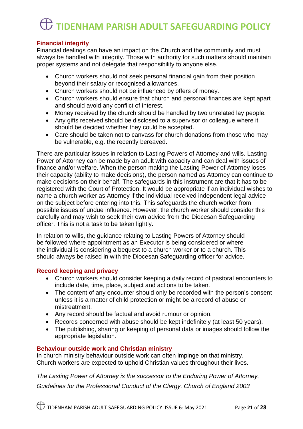#### **Financial integrity**

Financial dealings can have an impact on the Church and the community and must always be handled with integrity. Those with authority for such matters should maintain proper systems and not delegate that responsibility to anyone else.

- Church workers should not seek personal financial gain from their position beyond their salary or recognised allowances.
- Church workers should not be influenced by offers of money.
- Church workers should ensure that church and personal finances are kept apart and should avoid any conflict of interest.
- Money received by the church should be handled by two unrelated lay people.
- Any gifts received should be disclosed to a supervisor or colleague where it should be decided whether they could be accepted.
- Care should be taken not to canvass for church donations from those who may be vulnerable, e.g. the recently bereaved.

There are particular issues in relation to Lasting Powers of Attorney and wills. Lasting Power of Attorney can be made by an adult with capacity and can deal with issues of finance and/or welfare. When the person making the Lasting Power of Attorney loses their capacity (ability to make decisions), the person named as Attorney can continue to make decisions on their behalf. The safeguards in this instrument are that it has to be registered with the Court of Protection. It would be appropriate if an individual wishes to name a church worker as Attorney if the individual received independent legal advice on the subject before entering into this. This safeguards the church worker from possible issues of undue influence. However, the church worker should consider this carefully and may wish to seek their own advice from the Diocesan Safeguarding officer. This is not a task to be taken lightly.

In relation to wills, the guidance relating to Lasting Powers of Attorney should be followed where appointment as an Executor is being considered or where the individual is considering a bequest to a church worker or to a church. This should always be raised in with the Diocesan Safeguarding officer for advice.

#### **Record keeping and privacy**

- Church workers should consider keeping a daily record of pastoral encounters to include date, time, place, subject and actions to be taken.
- The content of any encounter should only be recorded with the person's consent unless it is a matter of child protection or might be a record of abuse or mistreatment.
- Any record should be factual and avoid rumour or opinion.
- Records concerned with abuse should be kept indefinitely (at least 50 years).
- The publishing, sharing or keeping of personal data or images should follow the appropriate legislation.

#### **Behaviour outside work and Christian ministry**

In church ministry behaviour outside work can often impinge on that ministry. Church workers are expected to uphold Christian values throughout their lives.

*The Lasting Power of Attorney is the successor to the Enduring Power of Attorney. Guidelines for the Professional Conduct of the Clergy, Church of England 2003*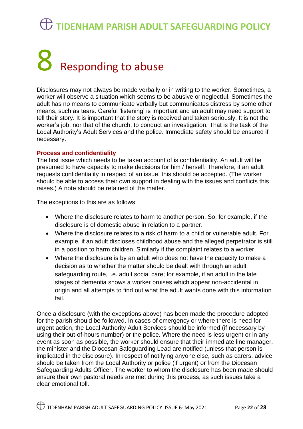# $8$  Responding to abuse

Disclosures may not always be made verbally or in writing to the worker. Sometimes, a worker will observe a situation which seems to be abusive or neglectful. Sometimes the adult has no means to communicate verbally but communicates distress by some other means, such as tears. Careful 'listening' is important and an adult may need support to tell their story. It is important that the story is received and taken seriously. It is not the worker's job, nor that of the church, to conduct an investigation. That is the task of the Local Authority's Adult Services and the police. Immediate safety should be ensured if necessary.

#### **Process and confidentiality**

The first issue which needs to be taken account of is confidentiality. An adult will be presumed to have capacity to make decisions for him / herself. Therefore, if an adult requests confidentiality in respect of an issue, this should be accepted. (The worker should be able to access their own support in dealing with the issues and conflicts this raises.) A note should be retained of the matter.

The exceptions to this are as follows:

- Where the disclosure relates to harm to another person. So, for example, if the disclosure is of domestic abuse in relation to a partner.
- Where the disclosure relates to a risk of harm to a child or vulnerable adult. For example, if an adult discloses childhood abuse and the alleged perpetrator is still in a position to harm children. Similarly if the complaint relates to a worker.
- Where the disclosure is by an adult who does not have the capacity to make a decision as to whether the matter should be dealt with through an adult safeguarding route, i.e. adult social care; for example, if an adult in the late stages of dementia shows a worker bruises which appear non-accidental in origin and all attempts to find out what the adult wants done with this information fail.

Once a disclosure (with the exceptions above) has been made the procedure adopted for the parish should be followed. In cases of emergency or where there is need for urgent action, the Local Authority Adult Services should be informed (if necessary by using their out-of-hours number) or the police. Where the need is less urgent or in any event as soon as possible, the worker should ensure that their immediate line manager, the minister and the Diocesan Safeguarding Lead are notified (unless that person is implicated in the disclosure). In respect of notifying anyone else, such as carers, advice should be taken from the Local Authority or police (if urgent) or from the Diocesan Safeguarding Adults Officer. The worker to whom the disclosure has been made should ensure their own pastoral needs are met during this process, as such issues take a clear emotional toll.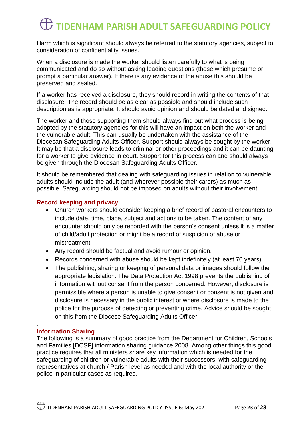Harm which is significant should always be referred to the statutory agencies, subject to consideration of confidentiality issues.

When a disclosure is made the worker should listen carefully to what is being communicated and do so without asking leading questions (those which presume or prompt a particular answer). If there is any evidence of the abuse this should be preserved and sealed.

If a worker has received a disclosure, they should record in writing the contents of that disclosure. The record should be as clear as possible and should include such description as is appropriate. It should avoid opinion and should be dated and signed.

The worker and those supporting them should always find out what process is being adopted by the statutory agencies for this will have an impact on both the worker and the vulnerable adult. This can usually be undertaken with the assistance of the Diocesan Safeguarding Adults Officer. Support should always be sought by the worker. It may be that a disclosure leads to criminal or other proceedings and it can be daunting for a worker to give evidence in court. Support for this process can and should always be given through the Diocesan Safeguarding Adults Officer.

It should be remembered that dealing with safeguarding issues in relation to vulnerable adults should include the adult (and wherever possible their carers) as much as possible. Safeguarding should not be imposed on adults without their involvement.

#### **Record keeping and privacy**

- Church workers should consider keeping a brief record of pastoral encounters to include date, time, place, subject and actions to be taken. The content of any encounter should only be recorded with the person's consent unless it is a matter of child/adult protection or might be a record of suspicion of abuse or mistreatment.
- Any record should be factual and avoid rumour or opinion.
- Records concerned with abuse should be kept indefinitely (at least 70 years).
- The publishing, sharing or keeping of personal data or images should follow the appropriate legislation. The Data Protection Act 1998 prevents the publishing of information without consent from the person concerned. However, disclosure is permissible where a person is unable to give consent or consent is not given and disclosure is necessary in the public interest or where disclosure is made to the police for the purpose of detecting or preventing crime. Advice should be sought on this from the Diocese Safeguarding Adults Officer.

#### **Information Sharing**

.

The following is a summary of good practice from the Department for Children, Schools and Families [DCSF] information sharing guidance 2008. Among other things this good practice requires that all ministers share key information which is needed for the safeguarding of children or vulnerable adults with their successors, with safeguarding representatives at church / Parish level as needed and with the local authority or the police in particular cases as required.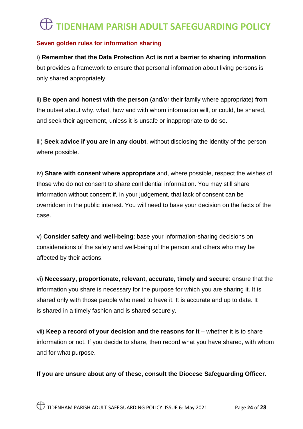#### **Seven golden rules for information sharing**

i) **Remember that the Data Protection Act is not a barrier to sharing information** but provides a framework to ensure that personal information about living persons is only shared appropriately.

ii) **Be open and honest with the person** (and/or their family where appropriate) from the outset about why, what, how and with whom information will, or could, be shared, and seek their agreement, unless it is unsafe or inappropriate to do so.

iii) **Seek advice if you are in any doubt**, without disclosing the identity of the person where possible.

iv) **Share with consent where appropriate** and, where possible, respect the wishes of those who do not consent to share confidential information. You may still share information without consent if, in your judgement, that lack of consent can be overridden in the public interest. You will need to base your decision on the facts of the case.

v) **Consider safety and well-being**: base your information-sharing decisions on considerations of the safety and well-being of the person and others who may be affected by their actions.

vi) **Necessary, proportionate, relevant, accurate, timely and secure**: ensure that the information you share is necessary for the purpose for which you are sharing it. It is shared only with those people who need to have it. It is accurate and up to date. It is shared in a timely fashion and is shared securely.

vii) **Keep a record of your decision and the reasons for it** – whether it is to share information or not. If you decide to share, then record what you have shared, with whom and for what purpose.

**If you are unsure about any of these, consult the Diocese Safeguarding Officer.**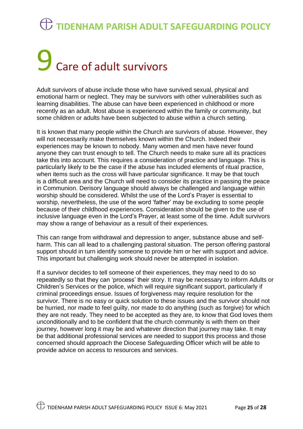## 9 Care of adult survivors

Adult survivors of abuse include those who have survived sexual, physical and emotional harm or neglect. They may be survivors with other vulnerabilities such as learning disabilities. The abuse can have been experienced in childhood or more recently as an adult. Most abuse is experienced within the family or community, but some children or adults have been subjected to abuse within a church setting.

It is known that many people within the Church are survivors of abuse. However, they will not necessarily make themselves known within the Church. Indeed their experiences may be known to nobody. Many women and men have never found anyone they can trust enough to tell. The Church needs to make sure all its practices take this into account. This requires a consideration of practice and language. This is particularly likely to be the case if the abuse has included elements of ritual practice, when items such as the cross will have particular significance. It may be that touch is a difficult area and the Church will need to consider its practice in passing the peace in Communion. Derisory language should always be challenged and language within worship should be considered. Whilst the use of the Lord's Prayer is essential to worship, nevertheless, the use of the word 'father' may be excluding to some people because of their childhood experiences. Consideration should be given to the use of inclusive language even in the Lord's Prayer, at least some of the time. Adult survivors may show a range of behaviour as a result of their experiences.

This can range from withdrawal and depression to anger, substance abuse and selfharm. This can all lead to a challenging pastoral situation. The person offering pastoral support should in turn identify someone to provide him or her with support and advice. This important but challenging work should never be attempted in isolation.

If a survivor decides to tell someone of their experiences, they may need to do so repeatedly so that they can 'process' their story. It may be necessary to inform Adults or Children's Services or the police, which will require significant support, particularly if criminal proceedings ensue. Issues of forgiveness may require resolution for the survivor. There is no easy or quick solution to these issues and the survivor should not be hurried, nor made to feel guilty, nor made to do anything (such as forgive) for which they are not ready. They need to be accepted as they are, to know that God loves them unconditionally and to be confident that the church community is with them on their journey, however long it may be and whatever direction that journey may take. It may be that additional professional services are needed to support this process and those concerned should approach the Diocese Safeguarding Officer which will be able to provide advice on access to resources and services.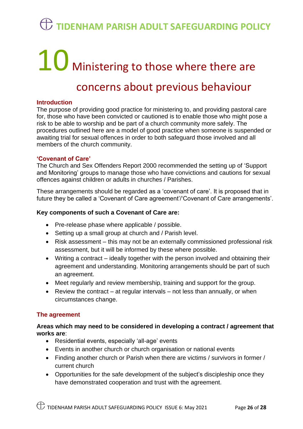# 10 Ministering to those where there are

#### concerns about previous behaviour

#### **Introduction**

The purpose of providing good practice for ministering to, and providing pastoral care for, those who have been convicted or cautioned is to enable those who might pose a risk to be able to worship and be part of a church community more safely. The procedures outlined here are a model of good practice when someone is suspended or awaiting trial for sexual offences in order to both safeguard those involved and all members of the church community.

#### **'Covenant of Care'**

The Church and Sex Offenders Report 2000 recommended the setting up of 'Support and Monitoring' groups to manage those who have convictions and cautions for sexual offences against children or adults in churches / Parishes.

These arrangements should be regarded as a 'covenant of care'. It is proposed that in future they be called a 'Covenant of Care agreement'/'Covenant of Care arrangements'.

#### **Key components of such a Covenant of Care are:**

- Pre-release phase where applicable / possible.
- Setting up a small group at church and / Parish level.
- Risk assessment this may not be an externally commissioned professional risk assessment, but it will be informed by these where possible.
- Writing a contract ideally together with the person involved and obtaining their agreement and understanding. Monitoring arrangements should be part of such an agreement.
- Meet regularly and review membership, training and support for the group.
- Review the contract  $-$  at regular intervals  $-$  not less than annually, or when circumstances change.

#### **The agreement**

#### **Areas which may need to be considered in developing a contract / agreement that works are**:

- Residential events, especially 'all-age' events
- Events in another church or church organisation or national events
- Finding another church or Parish when there are victims / survivors in former / current church
- Opportunities for the safe development of the subject's discipleship once they have demonstrated cooperation and trust with the agreement.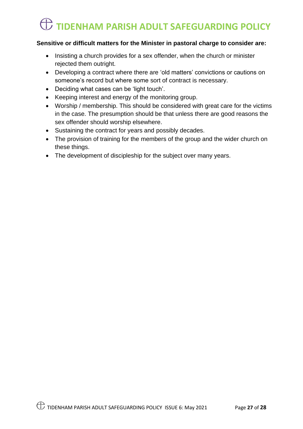#### **Sensitive or difficult matters for the Minister in pastoral charge to consider are:**

- Insisting a church provides for a sex offender, when the church or minister rejected them outright.
- Developing a contract where there are 'old matters' convictions or cautions on someone's record but where some sort of contract is necessary.
- Deciding what cases can be 'light touch'.
- Keeping interest and energy of the monitoring group.
- Worship / membership. This should be considered with great care for the victims in the case. The presumption should be that unless there are good reasons the sex offender should worship elsewhere.
- Sustaining the contract for years and possibly decades.
- The provision of training for the members of the group and the wider church on these things.
- The development of discipleship for the subject over many years.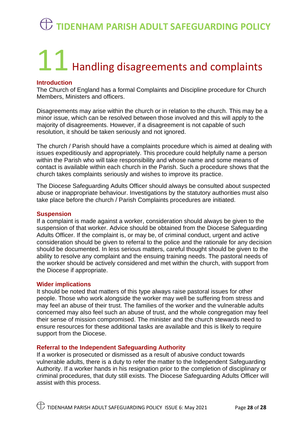# 11 Handling disagreements and complaints

#### **Introduction**

The Church of England has a formal Complaints and Discipline procedure for Church Members, Ministers and officers.

Disagreements may arise within the church or in relation to the church. This may be a minor issue, which can be resolved between those involved and this will apply to the majority of disagreements. However, if a disagreement is not capable of such resolution, it should be taken seriously and not ignored.

The church / Parish should have a complaints procedure which is aimed at dealing with issues expeditiously and appropriately. This procedure could helpfully name a person within the Parish who will take responsibility and whose name and some means of contact is available within each church in the Parish. Such a procedure shows that the church takes complaints seriously and wishes to improve its practice.

The Diocese Safeguarding Adults Officer should always be consulted about suspected abuse or inappropriate behaviour. Investigations by the statutory authorities must also take place before the church / Parish Complaints procedures are initiated.

#### **Suspension**

If a complaint is made against a worker, consideration should always be given to the suspension of that worker. Advice should be obtained from the Diocese Safeguarding Adults Officer. If the complaint is, or may be, of criminal conduct, urgent and active consideration should be given to referral to the police and the rationale for any decision should be documented. In less serious matters, careful thought should be given to the ability to resolve any complaint and the ensuing training needs. The pastoral needs of the worker should be actively considered and met within the church, with support from the Diocese if appropriate.

#### **Wider implications**

It should be noted that matters of this type always raise pastoral issues for other people. Those who work alongside the worker may well be suffering from stress and may feel an abuse of their trust. The families of the worker and the vulnerable adults concerned may also feel such an abuse of trust, and the whole congregation may feel their sense of mission compromised. The minister and the church stewards need to ensure resources for these additional tasks are available and this is likely to require support from the Diocese.

#### **Referral to the Independent Safeguarding Authority**

If a worker is prosecuted or dismissed as a result of abusive conduct towards vulnerable adults, there is a duty to refer the matter to the Independent Safeguarding Authority. If a worker hands in his resignation prior to the completion of disciplinary or criminal procedures, that duty still exists. The Diocese Safeguarding Adults Officer will assist with this process.